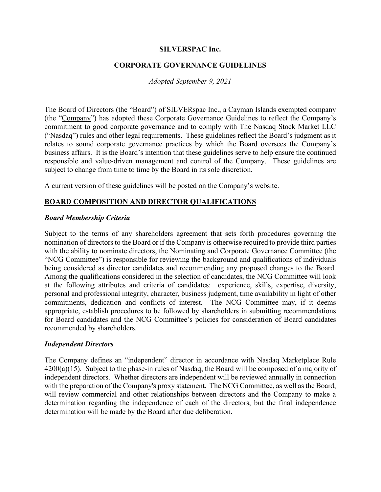#### **SILVERSPAC Inc.**

## **CORPORATE GOVERNANCE GUIDELINES**

#### *Adopted September 9, 2021*

The Board of Directors (the "Board") of SILVERspac Inc., a Cayman Islands exempted company (the "Company") has adopted these Corporate Governance Guidelines to reflect the Company's commitment to good corporate governance and to comply with The Nasdaq Stock Market LLC ("Nasdaq") rules and other legal requirements. These guidelines reflect the Board's judgment as it relates to sound corporate governance practices by which the Board oversees the Company's business affairs. It is the Board's intention that these guidelines serve to help ensure the continued responsible and value-driven management and control of the Company. These guidelines are subject to change from time to time by the Board in its sole discretion.

A current version of these guidelines will be posted on the Company's website.

## **BOARD COMPOSITION AND DIRECTOR QUALIFICATIONS**

#### *Board Membership Criteria*

Subject to the terms of any shareholders agreement that sets forth procedures governing the nomination of directors to the Board or if the Company is otherwise required to provide third parties with the ability to nominate directors, the Nominating and Corporate Governance Committee (the "NCG Committee") is responsible for reviewing the background and qualifications of individuals being considered as director candidates and recommending any proposed changes to the Board. Among the qualifications considered in the selection of candidates, the NCG Committee will look at the following attributes and criteria of candidates: experience, skills, expertise, diversity, personal and professional integrity, character, business judgment, time availability in light of other commitments, dedication and conflicts of interest. The NCG Committee may, if it deems appropriate, establish procedures to be followed by shareholders in submitting recommendations for Board candidates and the NCG Committee's policies for consideration of Board candidates recommended by shareholders.

#### *Independent Directors*

The Company defines an "independent" director in accordance with Nasdaq Marketplace Rule 4200(a)(15). Subject to the phase-in rules of Nasdaq, the Board will be composed of a majority of independent directors. Whether directors are independent will be reviewed annually in connection with the preparation of the Company's proxy statement. The NCG Committee, as well as the Board, will review commercial and other relationships between directors and the Company to make a determination regarding the independence of each of the directors, but the final independence determination will be made by the Board after due deliberation.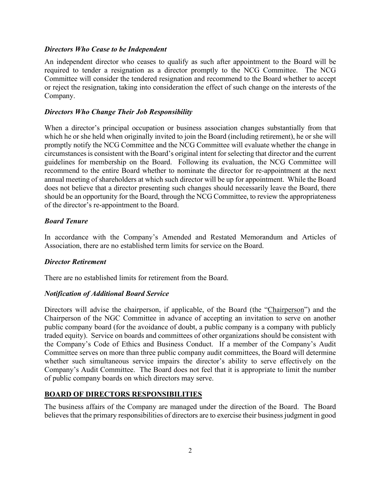### *Directors Who Cease to be Independent*

An independent director who ceases to qualify as such after appointment to the Board will be required to tender a resignation as a director promptly to the NCG Committee. The NCG Committee will consider the tendered resignation and recommend to the Board whether to accept or reject the resignation, taking into consideration the effect of such change on the interests of the Company.

## *Directors Who Change Their Job Responsibility*

When a director's principal occupation or business association changes substantially from that which he or she held when originally invited to join the Board (including retirement), he or she will promptly notify the NCG Committee and the NCG Committee will evaluate whether the change in circumstances is consistent with the Board's original intent for selecting that director and the current guidelines for membership on the Board. Following its evaluation, the NCG Committee will recommend to the entire Board whether to nominate the director for re-appointment at the next annual meeting of shareholders at which such director will be up for appointment. While the Board does not believe that a director presenting such changes should necessarily leave the Board, there should be an opportunity for the Board, through the NCG Committee, to review the appropriateness of the director's re-appointment to the Board.

## *Board Tenure*

In accordance with the Company's Amended and Restated Memorandum and Articles of Association, there are no established term limits for service on the Board.

### *Director Retirement*

There are no established limits for retirement from the Board.

## *Notification of Additional Board Service*

Directors will advise the chairperson, if applicable, of the Board (the "Chairperson") and the Chairperson of the NGC Committee in advance of accepting an invitation to serve on another public company board (for the avoidance of doubt, a public company is a company with publicly traded equity). Service on boards and committees of other organizations should be consistent with the Company's Code of Ethics and Business Conduct. If a member of the Company's Audit Committee serves on more than three public company audit committees, the Board will determine whether such simultaneous service impairs the director's ability to serve effectively on the Company's Audit Committee. The Board does not feel that it is appropriate to limit the number of public company boards on which directors may serve.

## **BOARD OF DIRECTORS RESPONSIBILITIES**

The business affairs of the Company are managed under the direction of the Board. The Board believes that the primary responsibilities of directors are to exercise their business judgment in good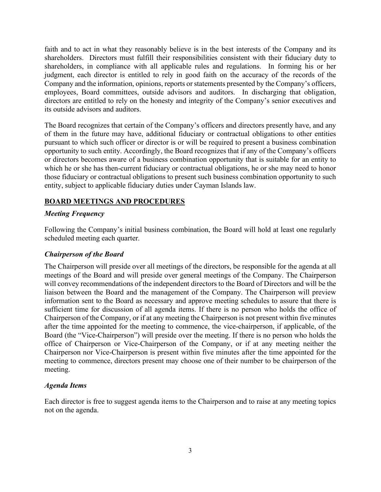faith and to act in what they reasonably believe is in the best interests of the Company and its shareholders. Directors must fulfill their responsibilities consistent with their fiduciary duty to shareholders, in compliance with all applicable rules and regulations. In forming his or her judgment, each director is entitled to rely in good faith on the accuracy of the records of the Company and the information, opinions, reports or statements presented by the Company's officers, employees, Board committees, outside advisors and auditors. In discharging that obligation, directors are entitled to rely on the honesty and integrity of the Company's senior executives and its outside advisors and auditors.

The Board recognizes that certain of the Company's officers and directors presently have, and any of them in the future may have, additional fiduciary or contractual obligations to other entities pursuant to which such officer or director is or will be required to present a business combination opportunity to such entity. Accordingly, the Board recognizes that if any of the Company's officers or directors becomes aware of a business combination opportunity that is suitable for an entity to which he or she has then-current fiduciary or contractual obligations, he or she may need to honor those fiduciary or contractual obligations to present such business combination opportunity to such entity, subject to applicable fiduciary duties under Cayman Islands law.

## **BOARD MEETINGS AND PROCEDURES**

## *Meeting Frequency*

Following the Company's initial business combination, the Board will hold at least one regularly scheduled meeting each quarter.

### *Chairperson of the Board*

The Chairperson will preside over all meetings of the directors, be responsible for the agenda at all meetings of the Board and will preside over general meetings of the Company. The Chairperson will convey recommendations of the independent directors to the Board of Directors and will be the liaison between the Board and the management of the Company. The Chairperson will preview information sent to the Board as necessary and approve meeting schedules to assure that there is sufficient time for discussion of all agenda items. If there is no person who holds the office of Chairperson of the Company, or if at any meeting the Chairperson is not present within five minutes after the time appointed for the meeting to commence, the vice-chairperson, if applicable, of the Board (the "Vice-Chairperson") will preside over the meeting. If there is no person who holds the office of Chairperson or Vice-Chairperson of the Company, or if at any meeting neither the Chairperson nor Vice-Chairperson is present within five minutes after the time appointed for the meeting to commence, directors present may choose one of their number to be chairperson of the meeting.

### *Agenda Items*

Each director is free to suggest agenda items to the Chairperson and to raise at any meeting topics not on the agenda.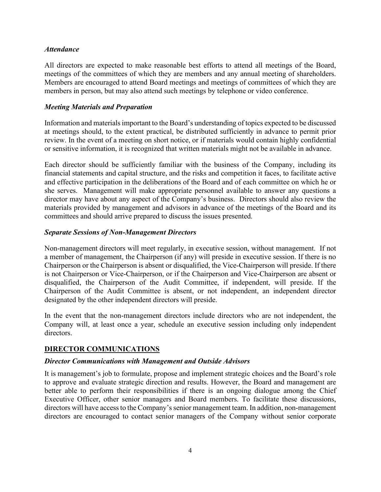#### *Attendance*

All directors are expected to make reasonable best efforts to attend all meetings of the Board, meetings of the committees of which they are members and any annual meeting of shareholders. Members are encouraged to attend Board meetings and meetings of committees of which they are members in person, but may also attend such meetings by telephone or video conference.

#### *Meeting Materials and Preparation*

Information and materials important to the Board's understanding of topics expected to be discussed at meetings should, to the extent practical, be distributed sufficiently in advance to permit prior review. In the event of a meeting on short notice, or if materials would contain highly confidential or sensitive information, it is recognized that written materials might not be available in advance.

Each director should be sufficiently familiar with the business of the Company, including its financial statements and capital structure, and the risks and competition it faces, to facilitate active and effective participation in the deliberations of the Board and of each committee on which he or she serves. Management will make appropriate personnel available to answer any questions a director may have about any aspect of the Company's business. Directors should also review the materials provided by management and advisors in advance of the meetings of the Board and its committees and should arrive prepared to discuss the issues presented.

### *Separate Sessions of Non-Management Directors*

Non-management directors will meet regularly, in executive session, without management. If not a member of management, the Chairperson (if any) will preside in executive session. If there is no Chairperson or the Chairperson is absent or disqualified, the Vice-Chairperson will preside. If there is not Chairperson or Vice-Chairperson, or if the Chairperson and Vice-Chairperson are absent or disqualified, the Chairperson of the Audit Committee, if independent, will preside. If the Chairperson of the Audit Committee is absent, or not independent, an independent director designated by the other independent directors will preside.

In the event that the non-management directors include directors who are not independent, the Company will, at least once a year, schedule an executive session including only independent directors.

### **DIRECTOR COMMUNICATIONS**

### *Director Communications with Management and Outside Advisors*

It is management's job to formulate, propose and implement strategic choices and the Board's role to approve and evaluate strategic direction and results. However, the Board and management are better able to perform their responsibilities if there is an ongoing dialogue among the Chief Executive Officer, other senior managers and Board members. To facilitate these discussions, directors will have access to the Company's senior management team. In addition, non-management directors are encouraged to contact senior managers of the Company without senior corporate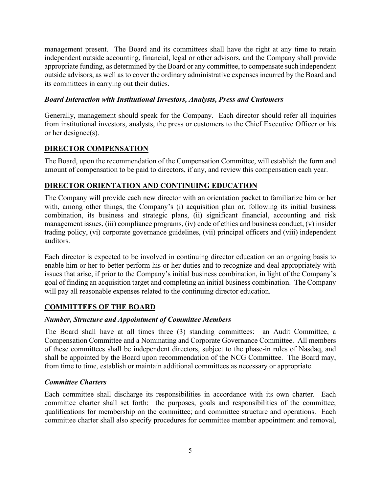management present. The Board and its committees shall have the right at any time to retain independent outside accounting, financial, legal or other advisors, and the Company shall provide appropriate funding, as determined by the Board or any committee, to compensate such independent outside advisors, as well as to cover the ordinary administrative expenses incurred by the Board and its committees in carrying out their duties.

### *Board Interaction with Institutional Investors, Analysts, Press and Customers*

Generally, management should speak for the Company. Each director should refer all inquiries from institutional investors, analysts, the press or customers to the Chief Executive Officer or his or her designee(s).

# **DIRECTOR COMPENSATION**

The Board, upon the recommendation of the Compensation Committee, will establish the form and amount of compensation to be paid to directors, if any, and review this compensation each year.

## **DIRECTOR ORIENTATION AND CONTINUING EDUCATION**

The Company will provide each new director with an orientation packet to familiarize him or her with, among other things, the Company's (i) acquisition plan or, following its initial business combination, its business and strategic plans, (ii) significant financial, accounting and risk management issues, (iii) compliance programs, (iv) code of ethics and business conduct, (v) insider trading policy, (vi) corporate governance guidelines, (vii) principal officers and (viii) independent auditors.

Each director is expected to be involved in continuing director education on an ongoing basis to enable him or her to better perform his or her duties and to recognize and deal appropriately with issues that arise, if prior to the Company's initial business combination, in light of the Company's goal of finding an acquisition target and completing an initial business combination. The Company will pay all reasonable expenses related to the continuing director education.

## **COMMITTEES OF THE BOARD**

## *Number, Structure and Appointment of Committee Members*

The Board shall have at all times three (3) standing committees: an Audit Committee, a Compensation Committee and a Nominating and Corporate Governance Committee. All members of these committees shall be independent directors, subject to the phase-in rules of Nasdaq, and shall be appointed by the Board upon recommendation of the NCG Committee. The Board may, from time to time, establish or maintain additional committees as necessary or appropriate.

### *Committee Charters*

Each committee shall discharge its responsibilities in accordance with its own charter. Each committee charter shall set forth: the purposes, goals and responsibilities of the committee; qualifications for membership on the committee; and committee structure and operations. Each committee charter shall also specify procedures for committee member appointment and removal,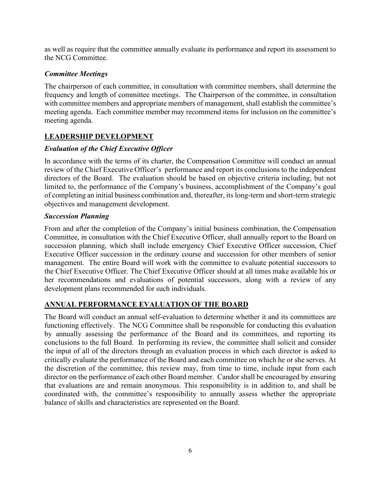as well as require that the committee annually evaluate its performance and report its assessment to the NCG Committee.

## *Committee Meetings*

The chairperson of each committee, in consultation with committee members, shall determine the frequency and length of committee meetings. The Chairperson of the committee, in consultation with committee members and appropriate members of management, shall establish the committee's meeting agenda. Each committee member may recommend items for inclusion on the committee's meeting agenda.

# **LEADERSHIP DEVELOPMENT**

# *Evaluation of the Chief Executive Officer*

In accordance with the terms of its charter, the Compensation Committee will conduct an annual review of the Chief Executive Officer's performance and report its conclusions to the independent directors of the Board. The evaluation should be based on objective criteria including, but not limited to, the performance of the Company's business, accomplishment of the Company's goal of completing an initial business combination and, thereafter, its long-term and short-term strategic objectives and management development.

## *Succession Planning*

From and after the completion of the Company's initial business combination, the Compensation Committee, in consultation with the Chief Executive Officer, shall annually report to the Board on succession planning, which shall include emergency Chief Executive Officer succession, Chief Executive Officer succession in the ordinary course and succession for other members of senior management. The entire Board will work with the committee to evaluate potential successors to the Chief Executive Officer. The Chief Executive Officer should at all times make available his or her recommendations and evaluations of potential successors, along with a review of any development plans recommended for such individuals.

# **ANNUAL PERFORMANCE EVALUATION OF THE BOARD**

The Board will conduct an annual self-evaluation to determine whether it and its committees are functioning effectively. The NCG Committee shall be responsible for conducting this evaluation by annually assessing the performance of the Board and its committees, and reporting its conclusions to the full Board. In performing its review, the committee shall solicit and consider the input of all of the directors through an evaluation process in which each director is asked to critically evaluate the performance of the Board and each committee on which he or she serves. At the discretion of the committee, this review may, from time to time, include input from each director on the performance of each other Board member. Candor shall be encouraged by ensuring that evaluations are and remain anonymous. This responsibility is in addition to, and shall be coordinated with, the committee's responsibility to annually assess whether the appropriate balance of skills and characteristics are represented on the Board.